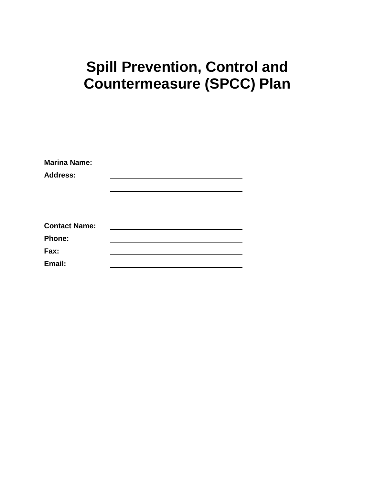# **Spill Prevention, Control and Countermeasure (SPCC) Plan**

| <b>Marina Name:</b>  |  |  |
|----------------------|--|--|
| <b>Address:</b>      |  |  |
|                      |  |  |
|                      |  |  |
|                      |  |  |
| <b>Contact Name:</b> |  |  |
| <b>Phone:</b>        |  |  |
| Fax:                 |  |  |
| Email:               |  |  |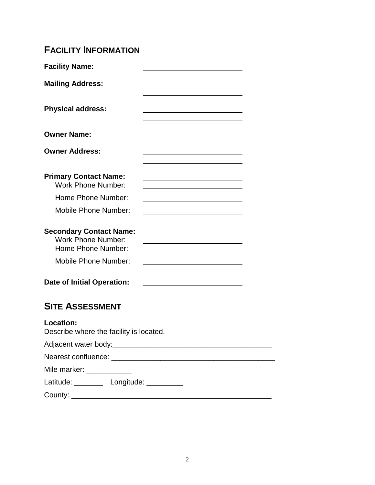# **FACILITY INFORMATION**

| <b>Facility Name:</b>                                                                                            |  |
|------------------------------------------------------------------------------------------------------------------|--|
| <b>Mailing Address:</b>                                                                                          |  |
| <b>Physical address:</b>                                                                                         |  |
| <b>Owner Name:</b>                                                                                               |  |
| <b>Owner Address:</b>                                                                                            |  |
| <b>Primary Contact Name:</b><br><b>Work Phone Number:</b>                                                        |  |
| Home Phone Number:                                                                                               |  |
| <b>Mobile Phone Number:</b>                                                                                      |  |
| <b>Secondary Contact Name:</b><br><b>Work Phone Number:</b><br>Home Phone Number:<br><b>Mobile Phone Number:</b> |  |
| <b>Date of Initial Operation:</b>                                                                                |  |
| <b>SITE ASSESSMENT</b>                                                                                           |  |
| <b>Location:</b><br>Describe where the facility is located.                                                      |  |
|                                                                                                                  |  |

| Nearest confluence: |  |
|---------------------|--|
| Mile marker:        |  |

Latitude: \_\_\_\_\_\_\_\_ Longitude: \_\_\_\_\_\_\_\_\_

County: \_\_\_\_\_\_\_\_\_\_\_\_\_\_\_\_\_\_\_\_\_\_\_\_\_\_\_\_\_\_\_\_\_\_\_\_\_\_\_\_\_\_\_\_\_\_\_\_\_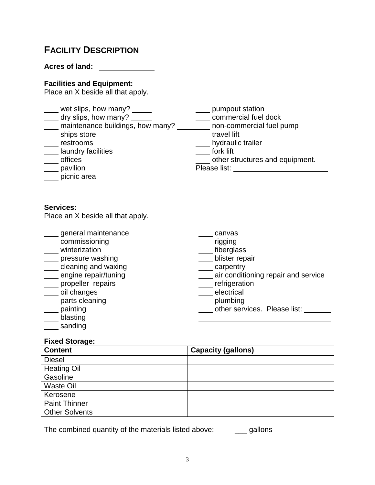# **FACILITY DESCRIPTION**

**Acres of land:** \_\_\_\_\_\_\_\_\_\_

### **Facilities and Equipment:**

Place an X beside all that apply.

| wet slips, how many?<br>dry slips, how many?<br>maintenance buildings, how many?<br>ships store<br>restrooms<br>laundry facilities<br>offices<br>pavilion<br>picnic area | pumpout station<br>commercial fuel dock<br>non-commercial fuel pump<br>travel lift<br>hydraulic trailer<br>fork lift<br>other structures and equipment.<br>Please list: <u>_______________________</u> |
|--------------------------------------------------------------------------------------------------------------------------------------------------------------------------|--------------------------------------------------------------------------------------------------------------------------------------------------------------------------------------------------------|
| <b>Services:</b><br>Place an X beside all that apply.                                                                                                                    |                                                                                                                                                                                                        |
| general maintenance<br>commissioning<br>winterization<br>pressure washing<br>cleaning and waxing<br>engine repair/tuning<br>propeller repairs                            | canvas<br>rigging<br>fiberglass<br>blister repair<br>carpentry<br>air conditioning repair and service<br>refrigeration                                                                                 |

- oil changes
- parts cleaning
- \_\_\_\_ painting
- \_\_\_\_ blasting

\_\_\_\_ sanding

- **t**refrigeration
- electrical
- **plumbing**
- **The services.** Please list: \_\_\_\_\_\_\_

i<br>L

### **Fixed Storage:**

| <b>Content</b>        | <b>Capacity (gallons)</b> |
|-----------------------|---------------------------|
| <b>Diesel</b>         |                           |
| <b>Heating Oil</b>    |                           |
| Gasoline              |                           |
| <b>Waste Oil</b>      |                           |
| Kerosene              |                           |
| <b>Paint Thinner</b>  |                           |
| <b>Other Solvents</b> |                           |

The combined quantity of the materials listed above: \_\_\_\_\_\_\_ gallons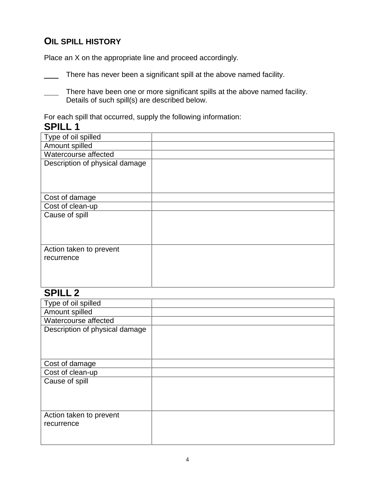### **OIL SPILL HISTORY**

Place an X on the appropriate line and proceed accordingly.

There has never been a significant spill at the above named facility.

There have been one or more significant spills at the above named facility. Details of such spill(s) are described below.

For each spill that occurred, supply the following information:

# **SPILL 1**

| Type of oil spilled            |  |
|--------------------------------|--|
| Amount spilled                 |  |
| Watercourse affected           |  |
| Description of physical damage |  |
|                                |  |
|                                |  |
| Cost of damage                 |  |
| Cost of clean-up               |  |
| Cause of spill                 |  |
|                                |  |
|                                |  |
|                                |  |
| Action taken to prevent        |  |
| recurrence                     |  |
|                                |  |
|                                |  |
|                                |  |

# **SPILL 2**

| Type of oil spilled            |  |
|--------------------------------|--|
| Amount spilled                 |  |
| Watercourse affected           |  |
| Description of physical damage |  |
|                                |  |
|                                |  |
|                                |  |
| Cost of damage                 |  |
| Cost of clean-up               |  |
| Cause of spill                 |  |
|                                |  |
|                                |  |
|                                |  |
| Action taken to prevent        |  |
| recurrence                     |  |
|                                |  |
|                                |  |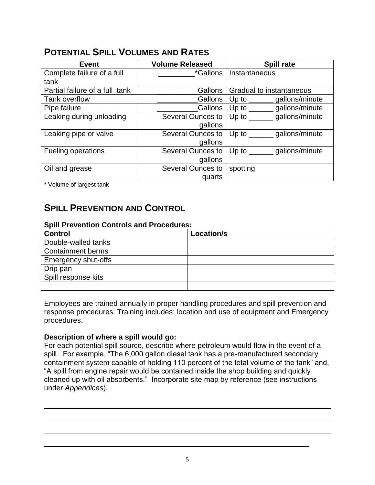# **POTENTIAL SPILL VOLUMES AND RATES**

| <b>Event</b>                   | <b>Volume Released</b> | <b>Spill rate</b>                           |
|--------------------------------|------------------------|---------------------------------------------|
| Complete failure of a full     | *Gallons               | Instantaneous                               |
| tank                           |                        |                                             |
| Partial failure of a full tank | <b>Gallons</b>         | Gradual to instantaneous                    |
| Tank overflow                  | Gallons                | Up to $\_\_$<br>gallons/minute              |
| Pipe failure                   | Gallons                | gallons/minute<br>Up to $\qquad \qquad$     |
| Leaking during unloading       | Several Ounces to      | gallons/minute<br>Up to $\qquad$            |
|                                | gallons                |                                             |
| Leaking pipe or valve          | Several Ounces to      | gallons/minute<br>Up to $\Box$              |
|                                | gallons                |                                             |
| Fueling operations             | Several Ounces to      | gallons/minute<br>Up to $\_\_\_\_\_\_\_\_\$ |
|                                | gallons                |                                             |
| Oil and grease                 | Several Ounces to      | spotting                                    |
|                                | quarts                 |                                             |

\* Volume of largest tank

# **SPILL PREVENTION AND CONTROL**

#### **Spill Prevention Controls and Procedures:**

| <b>Control</b>           | Location/s |
|--------------------------|------------|
| Double-walled tanks      |            |
| <b>Containment berms</b> |            |
| Emergency shut-offs      |            |
| Drip pan                 |            |
| Spill response kits      |            |
|                          |            |

Employees are trained annually in proper handling procedures and spill prevention and response procedures. Training includes: location and use of equipment and Emergency procedures.

### **Description of where a spill would go:**

For each potential spill source, describe where petroleum would flow in the event of a spill. For example, "The 6,000 gallon diesel tank has a pre-manufactured secondary containment system capable of holding 110 percent of the total volume of the tank" and, "A spill from engine repair would be contained inside the shop building and quickly cleaned up with oil absorbents." Incorporate site map by reference (see instructions under *Appendices*).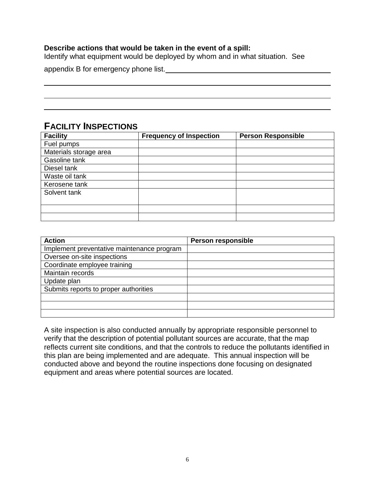### **Describe actions that would be taken in the event of a spill:**

Identify what equipment would be deployed by whom and in what situation. See

appendix B for emergency phone list.

### **FACILITY INSPECTIONS**

| <b>Facility</b>        | <b>Frequency of Inspection</b> | <b>Person Responsible</b> |
|------------------------|--------------------------------|---------------------------|
| Fuel pumps             |                                |                           |
| Materials storage area |                                |                           |
| Gasoline tank          |                                |                           |
| Diesel tank            |                                |                           |
| Waste oil tank         |                                |                           |
| Kerosene tank          |                                |                           |
| Solvent tank           |                                |                           |
|                        |                                |                           |
|                        |                                |                           |
|                        |                                |                           |

| <b>Action</b>                              | <b>Person responsible</b> |
|--------------------------------------------|---------------------------|
| Implement preventative maintenance program |                           |
| Oversee on-site inspections                |                           |
| Coordinate employee training               |                           |
| Maintain records                           |                           |
| Update plan                                |                           |
| Submits reports to proper authorities      |                           |
|                                            |                           |
|                                            |                           |
|                                            |                           |

A site inspection is also conducted annually by appropriate responsible personnel to verify that the description of potential pollutant sources are accurate, that the map reflects current site conditions, and that the controls to reduce the pollutants identified in this plan are being implemented and are adequate. This annual inspection will be conducted above and beyond the routine inspections done focusing on designated equipment and areas where potential sources are located.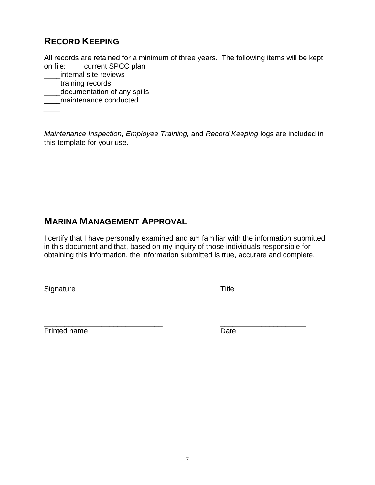# **RECORD KEEPING**

All records are retained for a minimum of three years. The following items will be kept on file: \_\_\_\_current SPCC plan

- \_\_\_\_internal site reviews
- \_\_\_\_training records
- \_\_\_\_documentation of any spills
- \_\_\_\_maintenance conducted

*\_\_\_\_ \_\_\_\_*

*Maintenance Inspection, Employee Training,* and *Record Keeping* logs are included in this template for your use.

# **MARINA MANAGEMENT APPROVAL**

I certify that I have personally examined and am familiar with the information submitted in this document and that, based on my inquiry of those individuals responsible for obtaining this information, the information submitted is true, accurate and complete.

Signature Title

\_\_\_\_\_\_\_\_\_\_\_\_\_\_\_\_\_\_\_\_\_\_\_\_\_\_\_\_\_ \_\_\_\_\_\_\_\_\_\_\_\_\_\_\_\_\_\_\_\_\_

\_\_\_\_\_\_\_\_\_\_\_\_\_\_\_\_\_\_\_\_\_\_\_\_\_\_\_\_\_ \_\_\_\_\_\_\_\_\_\_\_\_\_\_\_\_\_\_\_\_\_ Printed name **Date**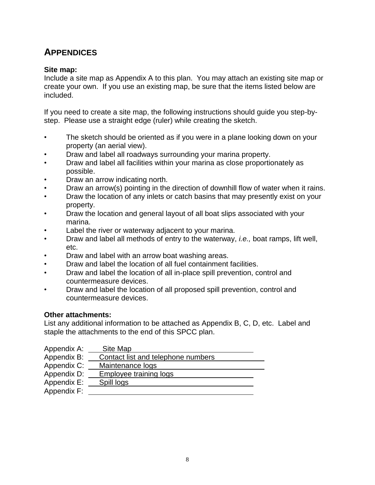# **APPENDICES**

### **Site map:**

Include a site map as Appendix A to this plan. You may attach an existing site map or create your own. If you use an existing map, be sure that the items listed below are included.

If you need to create a site map, the following instructions should guide you step-bystep. Please use a straight edge (ruler) while creating the sketch.

- The sketch should be oriented as if you were in a plane looking down on your property (an aerial view).
- Draw and label all roadways surrounding your marina property.
- Draw and label all facilities within your marina as close proportionately as possible.
- Draw an arrow indicating north.
- Draw an arrow(s) pointing in the direction of downhill flow of water when it rains.
- Draw the location of any inlets or catch basins that may presently exist on your property.
- Draw the location and general layout of all boat slips associated with your marina.
- Label the river or waterway adjacent to your marina.
- Draw and label all methods of entry to the waterway, *i.e.,* boat ramps, lift well, etc.
- Draw and label with an arrow boat washing areas.
- Draw and label the location of all fuel containment facilities.
- Draw and label the location of all in-place spill prevention, control and countermeasure devices.
- Draw and label the location of all proposed spill prevention, control and countermeasure devices.

### **Other attachments:**

List any additional information to be attached as Appendix B, C, D, etc. Label and staple the attachments to the end of this SPCC plan.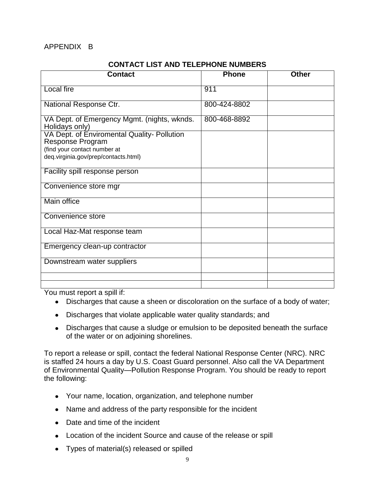### APPENDIX B

#### **CONTACT LIST AND TELEPHONE NUMBERS**

| <b>Contact</b>                                                         | <b>Phone</b> | Other |
|------------------------------------------------------------------------|--------------|-------|
| <b>Local fire</b>                                                      | 911          |       |
| National Response Ctr.                                                 | 800-424-8802 |       |
| VA Dept. of Emergency Mgmt. (nights, wknds.<br>Holidays only)          | 800-468-8892 |       |
| VA Dept. of Enviromental Quality- Pollution<br><b>Response Program</b> |              |       |
| (find your contact number at<br>deq.virginia.gov/prep/contacts.html)   |              |       |
| Facility spill response person                                         |              |       |
| Convenience store mgr                                                  |              |       |
| Main office                                                            |              |       |
| Convenience store                                                      |              |       |
| Local Haz-Mat response team                                            |              |       |
| Emergency clean-up contractor                                          |              |       |
| Downstream water suppliers                                             |              |       |
|                                                                        |              |       |
|                                                                        |              |       |

You must report a spill if:

- Discharges that cause a sheen or discoloration on the surface of a body of water;
- Discharges that violate applicable water quality standards; and
- Discharges that cause a sludge or emulsion to be deposited beneath the surface of the water or on adjoining shorelines.

To report a release or spill, contact the federal National Response Center (NRC). NRC is staffed 24 hours a day by U.S. Coast Guard personnel. Also call the VA Department of Environmental Quality—Pollution Response Program. You should be ready to report the following:

- Your name, location, organization, and telephone number
- Name and address of the party responsible for the incident
- Date and time of the incident
- Location of the incident Source and cause of the release or spill
- Types of material(s) released or spilled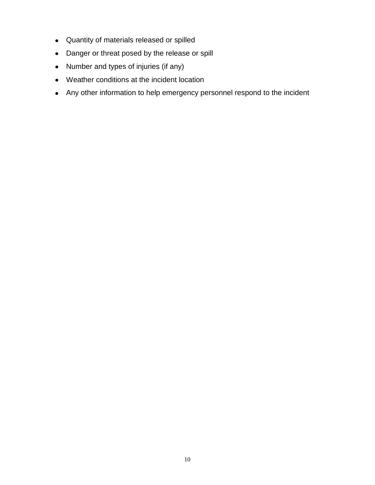- Quantity of materials released or spilled
- Danger or threat posed by the release or spill
- Number and types of injuries (if any)
- Weather conditions at the incident location
- Any other information to help emergency personnel respond to the incident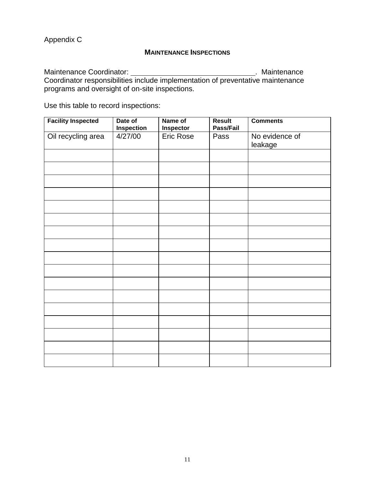Appendix C

#### **MAINTENANCE INSPECTIONS**

Maintenance Coordinator: . Maintenance Coordinator responsibilities include implementation of preventative maintenance programs and oversight of on-site inspections.

Use this table to record inspections:

| <b>Facility Inspected</b> | Date of<br><b>Inspection</b> | Name of<br>Inspector | <b>Result</b><br>Pass/Fail | <b>Comments</b>           |
|---------------------------|------------------------------|----------------------|----------------------------|---------------------------|
| Oil recycling area        | 4/27/00                      | <b>Eric Rose</b>     | Pass                       | No evidence of<br>leakage |
|                           |                              |                      |                            |                           |
|                           |                              |                      |                            |                           |
|                           |                              |                      |                            |                           |
|                           |                              |                      |                            |                           |
|                           |                              |                      |                            |                           |
|                           |                              |                      |                            |                           |
|                           |                              |                      |                            |                           |
|                           |                              |                      |                            |                           |
|                           |                              |                      |                            |                           |
|                           |                              |                      |                            |                           |
|                           |                              |                      |                            |                           |
|                           |                              |                      |                            |                           |
|                           |                              |                      |                            |                           |
|                           |                              |                      |                            |                           |
|                           |                              |                      |                            |                           |
|                           |                              |                      |                            |                           |
|                           |                              |                      |                            |                           |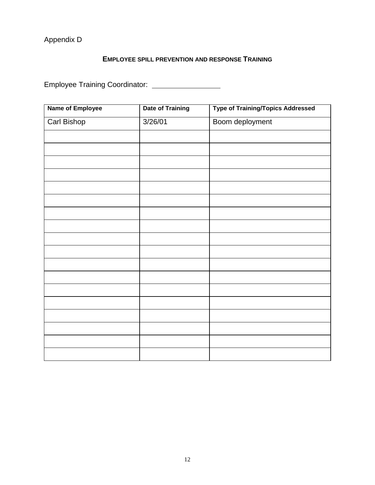# Appendix D

### **EMPLOYEE SPILL PREVENTION AND RESPONSE TRAINING**

Employee Training Coordinator:

| <b>Name of Employee</b> | <b>Date of Training</b> | <b>Type of Training/Topics Addressed</b> |
|-------------------------|-------------------------|------------------------------------------|
| <b>Carl Bishop</b>      | 3/26/01                 | Boom deployment                          |
|                         |                         |                                          |
|                         |                         |                                          |
|                         |                         |                                          |
|                         |                         |                                          |
|                         |                         |                                          |
|                         |                         |                                          |
|                         |                         |                                          |
|                         |                         |                                          |
|                         |                         |                                          |
|                         |                         |                                          |
|                         |                         |                                          |
|                         |                         |                                          |
|                         |                         |                                          |
|                         |                         |                                          |
|                         |                         |                                          |
|                         |                         |                                          |
|                         |                         |                                          |
|                         |                         |                                          |